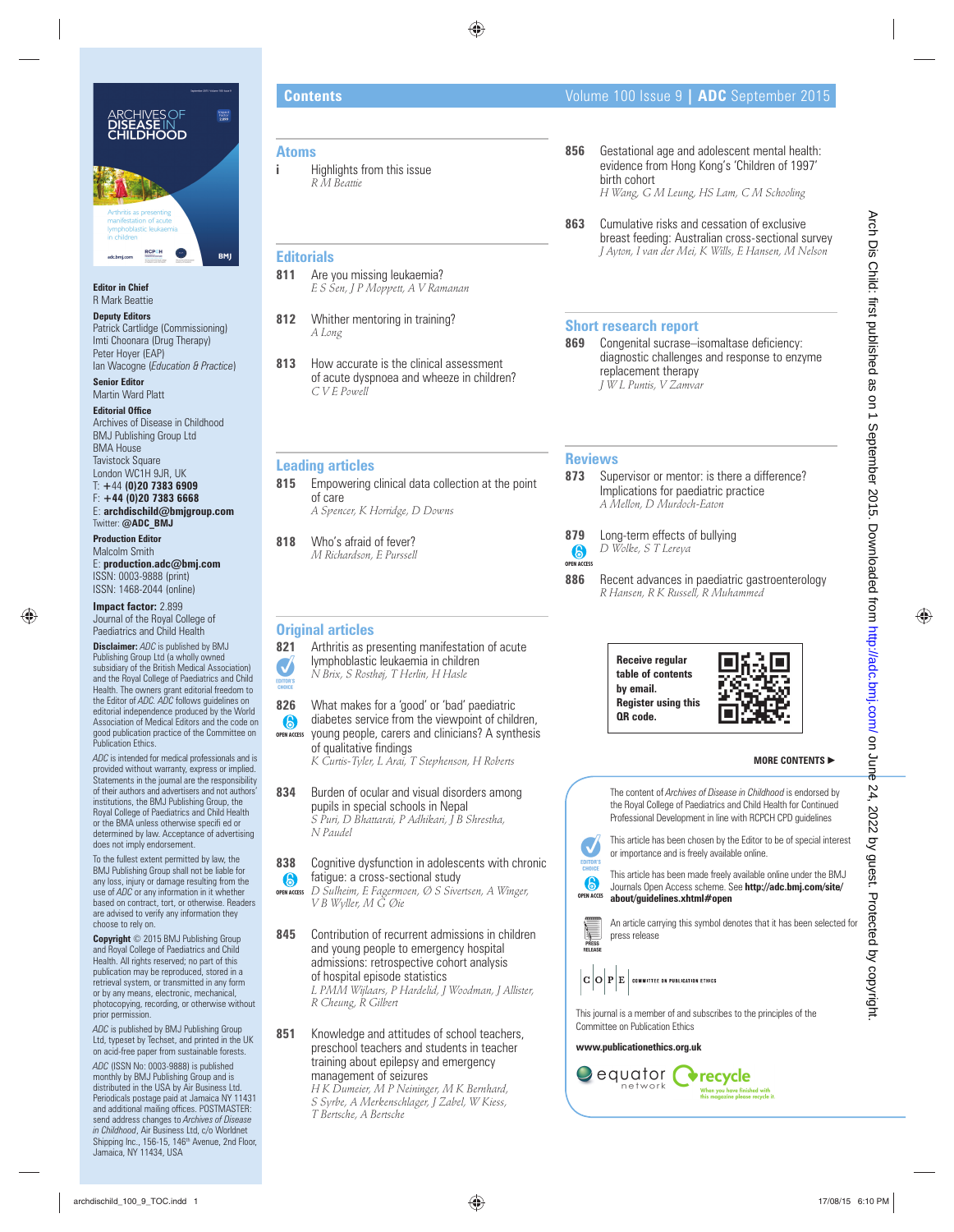

#### **Editor in Chief** R Mark Beattie

**Deputy Editors**

Patrick Cartlidge (Commissioning) Imti Choonara (Drug Therapy) Peter Hoyer (EAP) Ian Wacogne (*Education & Practice*)

**Senior Editor** Martin Ward Platt

**Editorial Office** Archives of Disease in Childhood BMJ Publishing Group Ltd BMA House Tavistock Square London WC1H 9JR, UK T: **+**44 **(0)20 7383 6909** F: **+44 (0)20 7383 6668**

E: **archdischild@bmjgroup.com** Twitter: **@ADC\_BMJ**

**Production Editor** Malcolm Smith E: **production.adc@bmj.com** ISSN: 0003-9888 (print) ISSN: 1468-2044 (online)

**Impact factor:** 2.899 Journal of the Royal College of Paediatrics and Child Health

**Disclaimer:** *ADC* is published by BMJ Publishing Group Ltd (a wholly owned subsidiary of the British Medical Association) and the Royal College of Paediatrics and Child Health. The owners grant editorial freedom to the Editor of *ADC. ADC* follows guidelines on editorial independence produced by the World Association of Medical Editors and the code on good publication practice of the Committee on Publication Ethics.

*ADC* is intended for medical professionals and is provided without warranty, express or implied. Statements in the journal are the responsibility of their authors and advertisers and not authors' institutions, the BMJ Publishing Group, the Royal College of Paediatrics and Child Health or the BMA unless otherwise specifi ed or determined by law. Acceptance of advertising does not imply endorsement.

To the fullest extent permitted by law, the BMJ Publishing Group shall not be liable for any loss, injury or damage resulting from the use of *ADC* or any information in it whether based on contract, tort, or otherwise. Readers are advised to verify any information they choose to rely on.

**Copyright** © 2015 BMJ Publishing Group and Royal College of Paediatrics and Child Health. All rights reserved; no part of this publication may be reproduced, stored in a retrieval system, or transmitted in any form or by any means, electronic, mechanical, photocopying, recording, or otherwise without prior permission.

*ADC* is published by BMJ Publishing Group Ltd, typeset by Techset, and printed in the UK on acid-free paper from sustainable forests.

*ADC* (ISSN No: 0003-9888) is published monthly by BMJ Publishing Group and is distributed in the USA by Air Business Ltd. Periodicals postage paid at Jamaica NY 11431 and additional mailing offices. POSTMASTER: send address changes to *Archives of Disease in Childhood,* Air Business Ltd, c/o Worldnet<br>Shipping Inc., 156-15, 146<sup>th</sup> Avenue, 2nd Floor, Jamaica, NY 11434, USA

## **Atoms**

**i Highlights from this issue** *R M Beattie*

## **Editorials**

- **811** Are you missing leukaemia? *E S Sen, J P Moppett, A V Ramanan*
- **812** Whither mentoring in training? *A Long*
- **813** How accurate is the clinical assessment of acute dyspnoea and wheeze in children? *C V E Powell*

## **Leading articles**

- **815** Empowering clinical data collection at the point of care *A Spencer, K Horridge, D Downs*
- **818** Who's afraid of fever? *M Richardson, E Purssell*

## **Original articles**

- **821** Arthritis as presenting manifestation of acute lymphoblastic leukaemia in children *N Brix, S Rosthøj, T Herlin, H Hasle*
	-
- **826** What makes for a 'good' or 'bad' paediatric
- diabetes service from the viewpoint of children, young people, carers and clinicians? A synthesis **OPEN ACCESS**
	- of qualitative findings
	- *K Curtis-Tyler, L Arai, T Stephenson, H Roberts*
- **834** Burden of ocular and visual disorders among pupils in special schools in Nepal *S Puri, D Bhattarai, P Adhikari, J B Shrestha, N Paudel*

**838** Cognitive dysfunction in adolescents with chronic fatigue: a cross-sectional study

- *D Sulheim, E Fagermoen, Ø S Sivertsen, A Winger, V B Wyller, M G Øie* **OPEN ACCESS**
- **845** Contribution of recurrent admissions in children and young people to emergency hospital admissions: retrospective cohort analysis of hospital episode statistics *L PMM Wijlaars, P Hardelid, J Woodman, J Allister, R Cheung, R Gilbert*
- **851** Knowledge and attitudes of school teachers, preschool teachers and students in teacher training about epilepsy and emergency management of seizures

*H K Dumeier, M P Neininger, M K Bernhard, S Syrbe, A Merkenschlager, J Zabel, W Kiess, T Bertsche, A Bertsche*

- **856** Gestational age and adolescent mental health: evidence from Hong Kong's 'Children of 1997' birth cohort *H Wang, G M Leung, HS Lam, C M Schooling*
- **863** Cumulative risks and cessation of exclusive breast feeding: Australian cross-sectional survey *J Ayton, I van der Mei, K Wills, E Hansen, M Nelson*

## **Short research report**

**869** Congenital sucrase–isomaltase deficiency: diagnostic challenges and response to enzyme replacement therapy *J W L Puntis, V Zamvar*

## **Reviews**

- 873 Supervisor or mentor: is there a difference? Implications for paediatric practice *A Mellon, D Murdoch-Eaton*
- **879** Long-term effects of bullying *D Wolke, S T Lereya*
- **OPEN ACCESS**
- **886** Recent advances in paediatric gastroenterology *R Hansen, R K Russell, R Muhammed*





### **MORE CONTENTS** -

**OPEN ACCES** This article has been chosen by the Editor to be of special interest or importance and is freely available online. This article has been made freely available online under the BMJ Journals Open Access scheme. See **http://adc.bmj.com/site/ about/guidelines.xhtml#open**  The content of *Archives of Disease in Childhood* is endorsed by the Royal College of Paediatrics and Child Health for Continued Professional Development in line with RCPCH CPD guidelines archives the computation of the computation of the computation of the computation of the computation of the computation of the computation of the computation of the computation of the computation of the computation of the





This journal is a member of and subscribes to the principles of the Committee on Publication Ethics

### **www.publicationethics.org.uk**